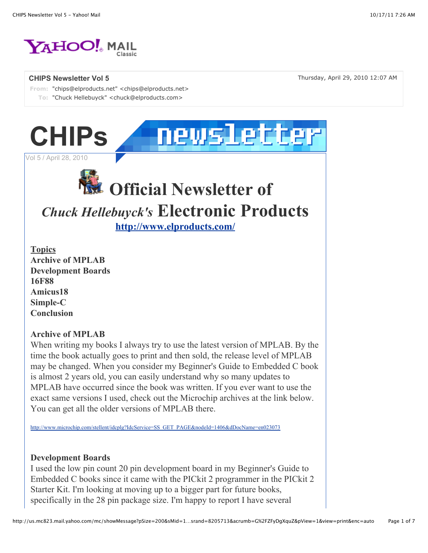

**From:** "chips@elproducts.net" <chips@elproducts.net> **To:** "Chuck Hellebuyck" <chuck@elproducts.com>

**CHIPS Newsletter Vol 5** Thursday, April 29, 2010 12:07 AM



Vol 5 / April 28, 2010

# **Official Newsletter of**

## *Chuck Hellebuyck's* **Electronic Products**

**http://www.elproducts.com/**

**Topics Archive of MPLAB Development Boards 16F88 Amicus18 Simple-C Conclusion**

#### **Archive of MPLAB**

When writing my books I always try to use the latest version of MPLAB. By the time the book actually goes to print and then sold, the release level of MPLAB may be changed. When you consider my Beginner's Guide to Embedded C book is almost 2 years old, you can easily understand why so many updates to MPLAB have occurred since the book was written. If you ever want to use the exact same versions I used, check out the Microchip archives at the link below. You can get all the older versions of MPLAB there.

http://www.microchip.com/stellent/idcplg?IdcService=SS\_GET\_PAGE&nodeId=1406&dDocName=en023073

#### **Development Boards**

I used the low pin count 20 pin development board in my Beginner's Guide to Embedded C books since it came with the PICkit 2 programmer in the PICkit 2 Starter Kit. I'm looking at moving up to a bigger part for future books, specifically in the 28 pin package size. I'm happy to report I have several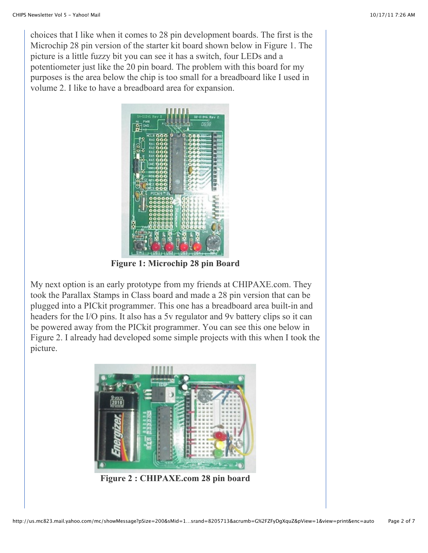choices that I like when it comes to 28 pin development boards. The first is the Microchip 28 pin version of the starter kit board shown below in Figure 1. The picture is a little fuzzy bit you can see it has a switch, four LEDs and a potentiometer just like the 20 pin board. The problem with this board for my purposes is the area below the chip is too small for a breadboard like I used in volume 2. I like to have a breadboard area for expansion.



**Figure 1: Microchip 28 pin Board**

My next option is an early prototype from my friends at CHIPAXE.com. They took the Parallax Stamps in Class board and made a 28 pin version that can be plugged into a PICkit programmer. This one has a breadboard area built-in and headers for the I/O pins. It also has a 5v regulator and 9v battery clips so it can be powered away from the PICkit programmer. You can see this one below in Figure 2. I already had developed some simple projects with this when I took the picture.



**Figure 2 : CHIPAXE.com 28 pin board**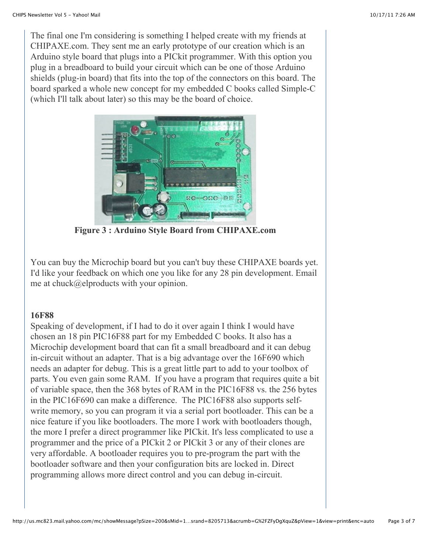The final one I'm considering is something I helped create with my friends at CHIPAXE.com. They sent me an early prototype of our creation which is an Arduino style board that plugs into a PICkit programmer. With this option you plug in a breadboard to build your circuit which can be one of those Arduino shields (plug-in board) that fits into the top of the connectors on this board. The board sparked a whole new concept for my embedded C books called Simple-C (which I'll talk about later) so this may be the board of choice.



**Figure 3 : Arduino Style Board from CHIPAXE.com**

You can buy the Microchip board but you can't buy these CHIPAXE boards yet. I'd like your feedback on which one you like for any 28 pin development. Email me at chuck@elproducts with your opinion.

#### **16F88**

Speaking of development, if I had to do it over again I think I would have chosen an 18 pin PIC16F88 part for my Embedded C books. It also has a Microchip development board that can fit a small breadboard and it can debug in-circuit without an adapter. That is a big advantage over the 16F690 which needs an adapter for debug. This is a great little part to add to your toolbox of parts. You even gain some RAM. If you have a program that requires quite a bit of variable space, then the 368 bytes of RAM in the PIC16F88 vs. the 256 bytes in the PIC16F690 can make a difference. The PIC16F88 also supports selfwrite memory, so you can program it via a serial port bootloader. This can be a nice feature if you like bootloaders. The more I work with bootloaders though, the more I prefer a direct programmer like PICkit. It's less complicated to use a programmer and the price of a PICkit 2 or PICkit 3 or any of their clones are very affordable. A bootloader requires you to pre-program the part with the bootloader software and then your configuration bits are locked in. Direct programming allows more direct control and you can debug in-circuit.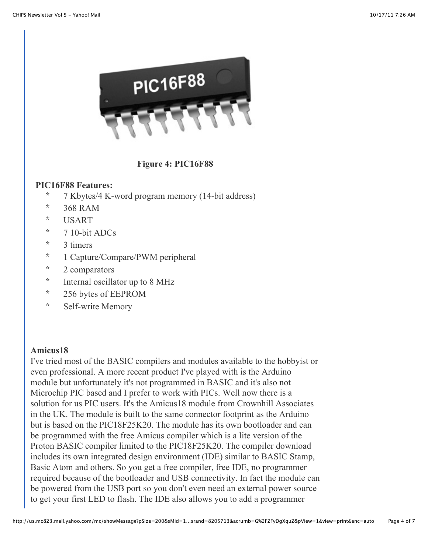

### **Figure 4: PIC16F88**

#### **PIC16F88 Features:**

- \* 7 Kbytes/4 K-word program memory (14-bit address)
- \* 368 RAM
- \* USART
- $*$  7 10-bit ADCs
- \* 3 timers
- \* 1 Capture/Compare/PWM peripheral
- \* 2 comparators
- \* Internal oscillator up to 8 MHz
- \* 256 bytes of EEPROM
- \* Self-write Memory

### **Amicus18**

I've tried most of the BASIC compilers and modules available to the hobbyist or even professional. A more recent product I've played with is the Arduino module but unfortunately it's not programmed in BASIC and it's also not Microchip PIC based and I prefer to work with PICs. Well now there is a solution for us PIC users. It's the Amicus18 module from Crownhill Associates in the UK. The module is built to the same connector footprint as the Arduino but is based on the PIC18F25K20. The module has its own bootloader and can be programmed with the free Amicus compiler which is a lite version of the Proton BASIC compiler limited to the PIC18F25K20. The compiler download includes its own integrated design environment (IDE) similar to BASIC Stamp, Basic Atom and others. So you get a free compiler, free IDE, no programmer required because of the bootloader and USB connectivity. In fact the module can be powered from the USB port so you don't even need an external power source to get your first LED to flash. The IDE also allows you to add a programmer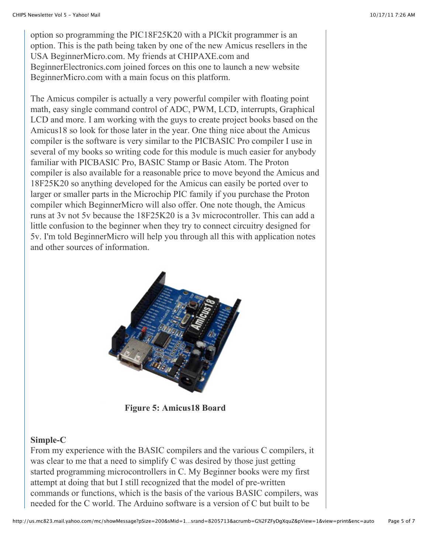option so programming the PIC18F25K20 with a PICkit programmer is an option. This is the path being taken by one of the new Amicus resellers in the USA BeginnerMicro.com. My friends at CHIPAXE.com and BeginnerElectronics.com joined forces on this one to launch a new website BeginnerMicro.com with a main focus on this platform.

The Amicus compiler is actually a very powerful compiler with floating point math, easy single command control of ADC, PWM, LCD, interrupts, Graphical LCD and more. I am working with the guys to create project books based on the Amicus18 so look for those later in the year. One thing nice about the Amicus compiler is the software is very similar to the PICBASIC Pro compiler I use in several of my books so writing code for this module is much easier for anybody familiar with PICBASIC Pro, BASIC Stamp or Basic Atom. The Proton compiler is also available for a reasonable price to move beyond the Amicus and 18F25K20 so anything developed for the Amicus can easily be ported over to larger or smaller parts in the Microchip PIC family if you purchase the Proton compiler which BeginnerMicro will also offer. One note though, the Amicus runs at 3v not 5v because the 18F25K20 is a 3v microcontroller. This can add a little confusion to the beginner when they try to connect circuitry designed for 5v. I'm told BeginnerMicro will help you through all this with application notes and other sources of information.



**Figure 5: Amicus18 Board**

### **Simple-C**

From my experience with the BASIC compilers and the various C compilers, it was clear to me that a need to simplify C was desired by those just getting started programming microcontrollers in C. My Beginner books were my first attempt at doing that but I still recognized that the model of pre-written commands or functions, which is the basis of the various BASIC compilers, was needed for the C world. The Arduino software is a version of C but built to be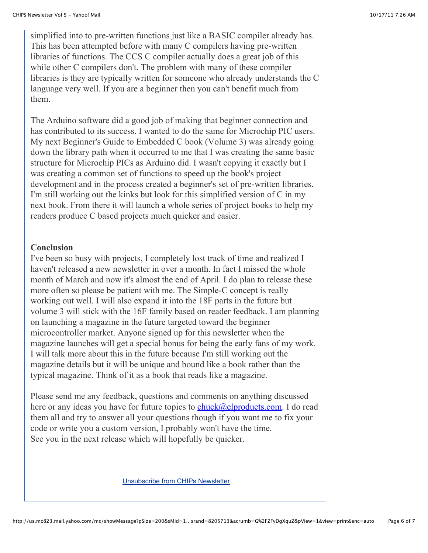simplified into to pre-written functions just like a BASIC compiler already has. This has been attempted before with many C compilers having pre-written libraries of functions. The CCS C compiler actually does a great job of this while other C compilers don't. The problem with many of these compiler libraries is they are typically written for someone who already understands the C language very well. If you are a beginner then you can't benefit much from them.

The Arduino software did a good job of making that beginner connection and has contributed to its success. I wanted to do the same for Microchip PIC users. My next Beginner's Guide to Embedded C book (Volume 3) was already going down the library path when it occurred to me that I was creating the same basic structure for Microchip PICs as Arduino did. I wasn't copying it exactly but I was creating a common set of functions to speed up the book's project development and in the process created a beginner's set of pre-written libraries. I'm still working out the kinks but look for this simplified version of C in my next book. From there it will launch a whole series of project books to help my readers produce C based projects much quicker and easier.

#### **Conclusion**

I've been so busy with projects, I completely lost track of time and realized I haven't released a new newsletter in over a month. In fact I missed the whole month of March and now it's almost the end of April. I do plan to release these more often so please be patient with me. The Simple-C concept is really working out well. I will also expand it into the 18F parts in the future but volume 3 will stick with the 16F family based on reader feedback. I am planning on launching a magazine in the future targeted toward the beginner microcontroller market. Anyone signed up for this newsletter when the magazine launches will get a special bonus for being the early fans of my work. I will talk more about this in the future because I'm still working out the magazine details but it will be unique and bound like a book rather than the typical magazine. Think of it as a book that reads like a magazine.

Please send me any feedback, questions and comments on anything discussed here or any ideas you have for future topics to  $\frac{\text{chuck}(\partial \text{elproducts.com})}{\text{chuck}}$ . I do read them all and try to answer all your questions though if you want me to fix your code or write you a custom version, I probably won't have the time. See you in the next release which will hopefully be quicker.

Unsubscribe from CHIPs Newsletter